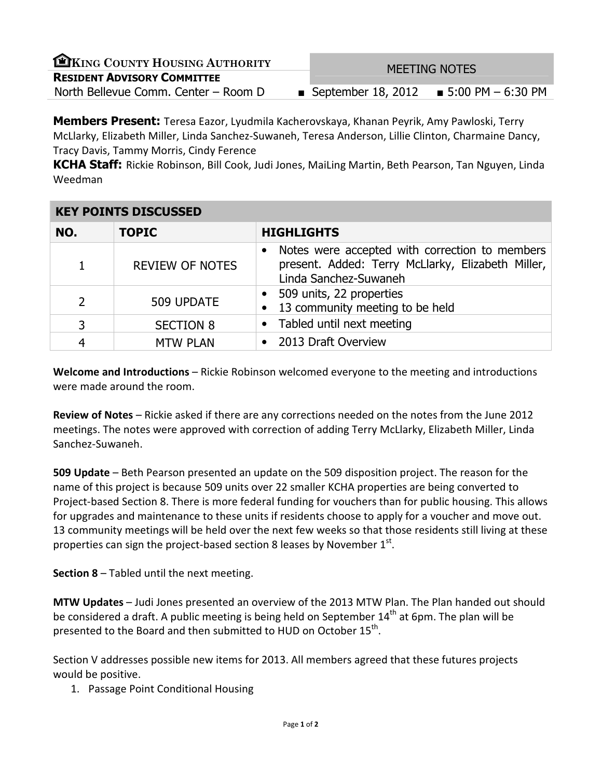| EKING COUNTY HOUSING AUTHORITY       | <b>MEETING NOTES</b>                      |  |  |
|--------------------------------------|-------------------------------------------|--|--|
| <b>RESIDENT ADVISORY COMMITTEE</b>   |                                           |  |  |
| North Bellevue Comm. Center - Room D | ■ September 18, 2012 ■ 5:00 PM $-6:30$ PM |  |  |
|                                      |                                           |  |  |

**Members Present:** Teresa Eazor, Lyudmila Kacherovskaya, Khanan Peyrik, Amy Pawloski, Terry McLlarky, Elizabeth Miller, Linda Sanchez-Suwaneh, Teresa Anderson, Lillie Clinton, Charmaine Dancy, Tracy Davis, Tammy Morris, Cindy Ference

KCHA Staff: Rickie Robinson, Bill Cook, Judi Jones, MaiLing Martin, Beth Pearson, Tan Nguyen, Linda Weedman

| <b>KEY POINTS DISCUSSED</b> |                        |                                                                                                                              |  |  |
|-----------------------------|------------------------|------------------------------------------------------------------------------------------------------------------------------|--|--|
| NO.                         | <b>TOPIC</b>           | <b>HIGHLIGHTS</b>                                                                                                            |  |  |
| 1                           | <b>REVIEW OF NOTES</b> | Notes were accepted with correction to members<br>present. Added: Terry McLlarky, Elizabeth Miller,<br>Linda Sanchez-Suwaneh |  |  |
| $\overline{2}$              | 509 UPDATE             | • 509 units, 22 properties<br>13 community meeting to be held                                                                |  |  |
| 3                           | <b>SECTION 8</b>       | • Tabled until next meeting                                                                                                  |  |  |
| 4                           | <b>MTW PLAN</b>        | • 2013 Draft Overview                                                                                                        |  |  |

Welcome and Introductions - Rickie Robinson welcomed everyone to the meeting and introductions were made around the room.

Review of Notes – Rickie asked if there are any corrections needed on the notes from the June 2012 meetings. The notes were approved with correction of adding Terry McLlarky, Elizabeth Miller, Linda Sanchez-Suwaneh.

509 Update – Beth Pearson presented an update on the 509 disposition project. The reason for the name of this project is because 509 units over 22 smaller KCHA properties are being converted to Project-based Section 8. There is more federal funding for vouchers than for public housing. This allows for upgrades and maintenance to these units if residents choose to apply for a voucher and move out. 13 community meetings will be held over the next few weeks so that those residents still living at these properties can sign the project-based section 8 leases by November  $1<sup>st</sup>$ .

Section 8 – Tabled until the next meeting.

MTW Updates – Judi Jones presented an overview of the 2013 MTW Plan. The Plan handed out should be considered a draft. A public meeting is being held on September  $14<sup>th</sup>$  at 6pm. The plan will be presented to the Board and then submitted to HUD on October  $15^{th}$ .

Section V addresses possible new items for 2013. All members agreed that these futures projects would be positive.

1. Passage Point Conditional Housing